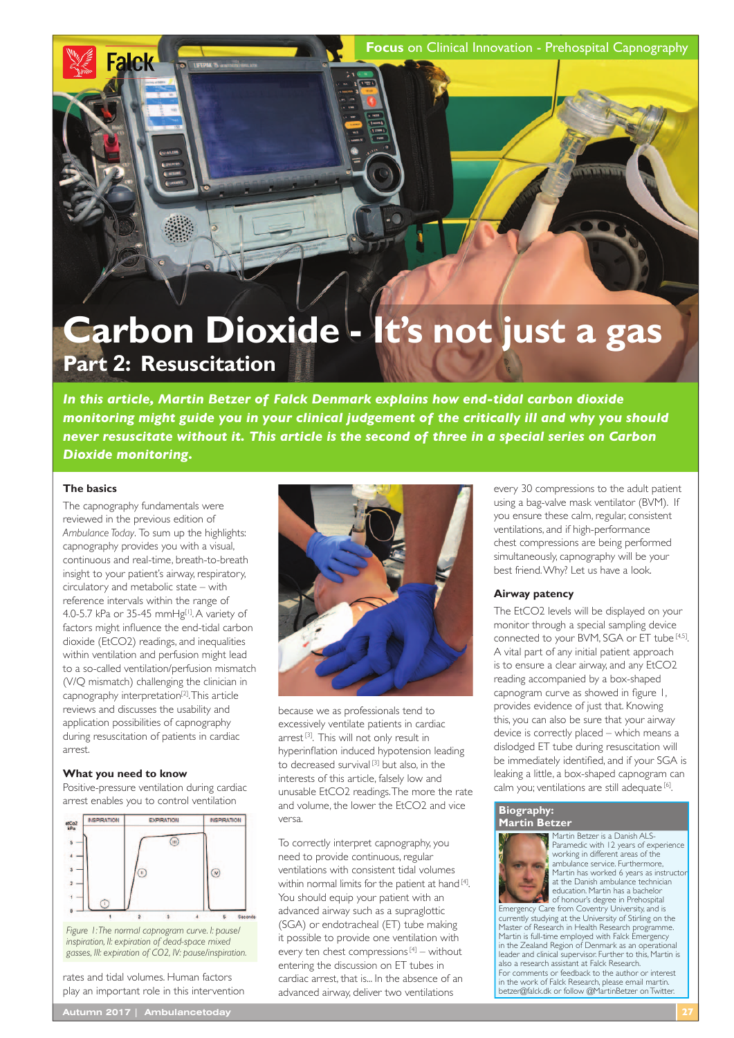**Focus** on Clinical Innovation - Prehospital Capnography

# **Carbon Dioxide - It's not just a gas Part 2: Resuscitation**

*In this article, Martin Betzer of Falck Denmark explains how end-tidal carbon dioxide monitoring might guide you in your clinical judgement of the critically ill and why you should never resuscitate without it. This article is the second of three in a special series on Carbon Dioxide monitoring.*

## **The basics**

**Falck** 

The capnography fundamentals were reviewed in the previous edition of *Ambulance Today*. To sum up the highlights: capnography provides you with a visual, continuous and real-time, breath-to-breath insight to your patient's airway, respiratory, circulatory and metabolic state – with reference intervals within the range of 4.0-5.7 kPa or 35-45 mmHg<sup>[1]</sup>. A variety of factors might infuence the end-tidal carbon dioxide (EtCO2) readings, and inequalities within ventilation and perfusion might lead to a so-called ventilation/perfusion mismatch (V/Q mismatch) challenging the clinician in capnography interpretation[2]. This article reviews and discusses the usability and application possibilities of capnography during resuscitation of patients in cardiac arrest.

## **What you need to know**

Positive-pressure ventilation during cardiac arrest enables you to control ventilation



*Figure 1: The normal capnogram curve. I: pause/ inspiration, II: expiration of dead-space mixed gasses, III: expiration of CO2, IV: pause/inspiration.*

rates and tidal volumes. Human factors play an important role in this intervention



because we as professionals tend to excessively ventilate patients in cardiac arrest<sup>[3]</sup>. This will not only result in hyperinfation induced hypotension leading to decreased survival<sup>[3]</sup> but also, in the interests of this article, falsely low and unusable EtCO2 readings. The more the rate and volume, the lower the EtCO2 and vice versa.

To correctly interpret capnography, you need to provide continuous, regular ventilations with consistent tidal volumes within normal limits for the patient at hand [4]. You should equip your patient with an advanced airway such as a supraglottic (SGA) or endotracheal (ET) tube making it possible to provide one ventilation with every ten chest compressions [4] – without entering the discussion on ET tubes in cardiac arrest, that is... In the absence of an advanced airway, deliver two ventilations

every 30 compressions to the adult patient using a bag-valve mask ventilator (BVM). If you ensure these calm, regular, consistent ventilations, and if high-performance chest compressions are being performed simultaneously, capnography will be your best friend. Why? Let us have a look.

#### **Airway patency**

The EtCO2 levels will be displayed on your monitor through a special sampling device connected to your BVM, SGA or ET tube [4,5]. A vital part of any initial patient approach is to ensure a clear airway, and any EtCO2 reading accompanied by a box-shaped capnogram curve as showed in fgure 1, provides evidence of just that. Knowing this, you can also be sure that your airway device is correctly placed – which means a dislodged ET tube during resuscitation will be immediately identifed, and if your SGA is leaking a little, a box-shaped capnogram can calm you; ventilations are still adequate [6].

## **Biography:**



Martin Betzer is a Danish ALS-Paramedic with 12 years of experience working in different areas of the ambulance service. Furthermore ambularies sur neem ar arummere;<br>Martin has worked 6 years as instructo at the Danish ambulance technician education. Martin has a bachelor

of honour's degree in Prehospital Emergency Care from Coventry University, and is currently studying at the University of Stirling on the Master of Research in Health Research programme. Martin is full-time employed with Falck Emergency in the Zealand Region of Denmark as an operational leader and clinical supervisor. Further to this, Martin is also a research assistant at Falck Research. For comments or feedback to the author or interest in the work of Falck Research, please email martin. betzer@falck.dk or follow @MartinBetzer on Twitter.